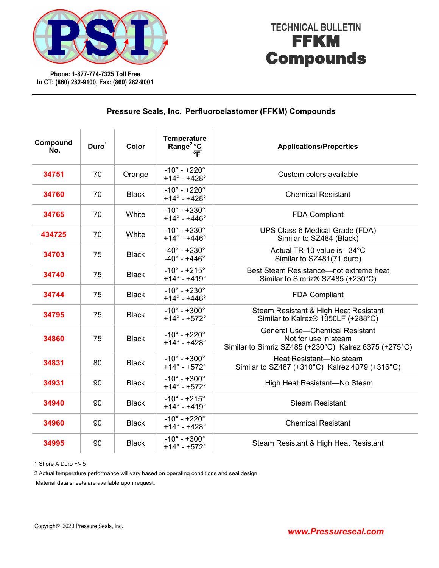

**Phone: 1-877-774-7325 Toll Free In CT: (860) 282-9100, Fax: (860) 282-9001**

## **TECHNICAL BULLETIN** FFKM Compounds

| Compound<br>No. | Duro <sup>1</sup> | Color        | <b>Temperature</b><br>emperus.<br>Range <sup>2</sup> °C<br>F   | <b>Applications/Properties</b>                                                                                         |
|-----------------|-------------------|--------------|----------------------------------------------------------------|------------------------------------------------------------------------------------------------------------------------|
| 34751           | 70                | Orange       | $-10^{\circ} - +220^{\circ}$<br>$+14^{\circ} - +428^{\circ}$   | Custom colors available                                                                                                |
| 34760           | 70                | <b>Black</b> | $-10^{\circ} - +220^{\circ}$<br>$+14^{\circ} - +428^{\circ}$   | <b>Chemical Resistant</b>                                                                                              |
| 34765           | 70                | White        | $-10^{\circ} - +230^{\circ}$<br>$+14^{\circ} - +446^{\circ}$   | <b>FDA Compliant</b>                                                                                                   |
| 434725          | 70                | White        | $-10^{\circ} - +230^{\circ}$<br>$+14^{\circ} - +446^{\circ}$   | UPS Class 6 Medical Grade (FDA)<br>Similar to SZ484 (Black)                                                            |
| 34703           | 75                | <b>Black</b> | $-40^{\circ} - +230^{\circ}$<br>$-40^{\circ} - +446^{\circ}$   | Actual TR-10 value is -34°C<br>Similar to SZ481(71 duro)                                                               |
| 34740           | 75                | <b>Black</b> | $-10^{\circ} - +215^{\circ}$<br>$+14^{\circ} - +419^{\circ}$   | Best Steam Resistance-not extreme heat<br>Similar to Simriz® SZ485 (+230°C)                                            |
| 34744           | 75                | <b>Black</b> | $-10^{\circ} - +230^{\circ}$<br>$+14^{\circ} - +446^{\circ}$   | <b>FDA Compliant</b>                                                                                                   |
| 34795           | 75                | <b>Black</b> | $-10^{\circ} - +300^{\circ}$<br>$+14^{\circ} - +572^{\circ}$   | Steam Resistant & High Heat Resistant<br>Similar to Kalrez <sup>®</sup> 1050LF (+288°C)                                |
| 34860           | 75                | <b>Black</b> | $-10^{\circ} - +220^{\circ}$<br>$+14^{\circ} - +428^{\circ}$   | <b>General Use-Chemical Resistant</b><br>Not for use in steam<br>Similar to Simriz SZ485 (+230°C) Kalrez 6375 (+275°C) |
| 34831           | 80                | <b>Black</b> | $-10^{\circ} - +300^{\circ}$<br>$+14^{\circ} - +572^{\circ}$   | Heat Resistant-No steam<br>Similar to SZ487 (+310°C) Kalrez 4079 (+316°C)                                              |
| 34931           | 90                | <b>Black</b> | $-10^{\circ} - +300^{\circ}$<br>$+14^{\circ} - +572^{\circ}$   | High Heat Resistant-No Steam                                                                                           |
| 34940           | 90                | <b>Black</b> | $-10^{\circ} - +215^{\circ}$<br>$+14^{\circ} - +419^{\circ}$   | <b>Steam Resistant</b>                                                                                                 |
| 34960           | 90                | <b>Black</b> | $-10^{\circ} - +220^{\circ}$<br>$+14^{\circ} - +428^{\circ}$   | <b>Chemical Resistant</b>                                                                                              |
| 34995           | 90                | <b>Black</b> | $-10^{\circ} - +300^{\circ}$<br>$+14^{\circ}$ - $+572^{\circ}$ | Steam Resistant & High Heat Resistant                                                                                  |

### **Pressure Seals, Inc. Perfluoroelastomer (FFKM) Compounds**

1 Shore A Duro +/- 5

2 Actual temperature performance will vary based on operating conditions and seal design.

Material data sheets are available upon request.